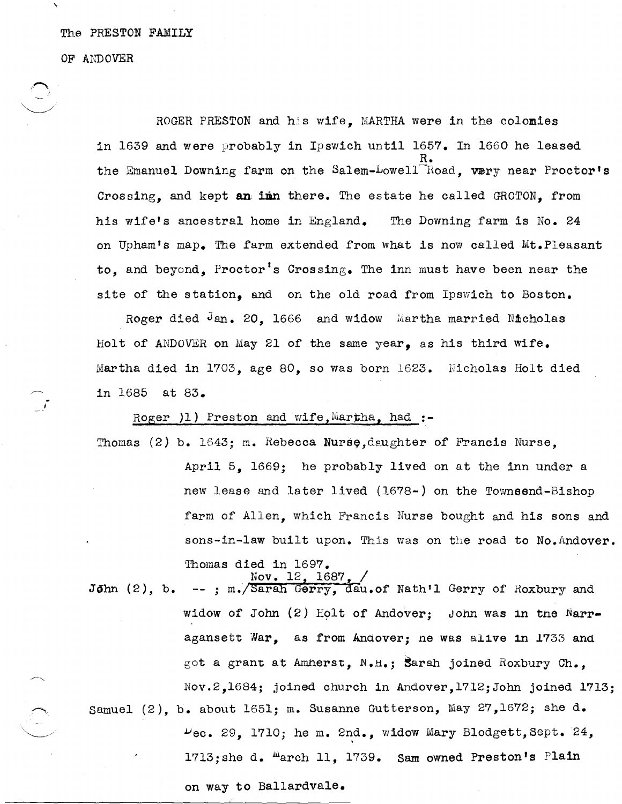## The PRESTON FAMILY

OF ANDOVER

 $\curvearrowright$ 

~.,

ROGER PRESTON and his wife, MARTHA were in the colomies in 1639 and were probably in Ipswich until 1657. In 1660 he leased R. the Emanuel Downing farm on the Salem-Lowell<sup>-H</sup>oad, very near Proctor's Crossing, and kept an imm there. The estate he called GROTON, from his wife's ancestral home in England. The Downing farm is No. 24 on Upham's map. The farm extended from what is now called Mt. Pleasant to, and beyond, Proctor's Crossing. The inn must have been near the site of the station, and on the old road from Ipswich to Boston.

Roger died Jan. 20. 1666 and widow Martha married Nicholas Holt of ANDOVBR on May 21 of the same year, as his third wife. Martha died in 1703, age 80, so was born 1623. Nicholas Holt died in 1685 at 83.

Roger )1) Preston and wife, Martha, had :-

Thomas  $(2)$  b. 1643; m. Rebecca Nurse, daughter of Francis Nurse.

April 5, 1669; he probably lived on at the inn under a new lease and later lived (1678-) on the Townsend-Bishop farm of Allen, which Francis Nurse bought and his sons and sons-in-law built upon. This was on the road to No. Andover. Thomas died in 1697.

John (2), b.  $Nov. 12, 1687,$  /  $-$  ; m. Sarah Gerry, day. of Nath'l Gerry of Roxbury and widow of John  $(2)$  Holt of Andover; John was in the Narragansett War, as from Andover; ne was a11ve 1n *1733* and got a grant at Amherst,  $N_{\bullet}H_{\bullet}$ ; Sarah joined Roxbury Ch., Nov.2,1684; joined church in Andover,1712;John joined 1713; samuel (2), b. about 1651; m. Susanne Gutterson, May 27,l672; she d.  $P_{\text{ec. 29, 1710; he m. 2nd., 24}}$  widow Mary Blodgett, Sept. 24,

 $1713$ ;she d. <sup>m</sup>arch 11, 1739. Sam owned Preston's Plain

on way to Bal1ardvale.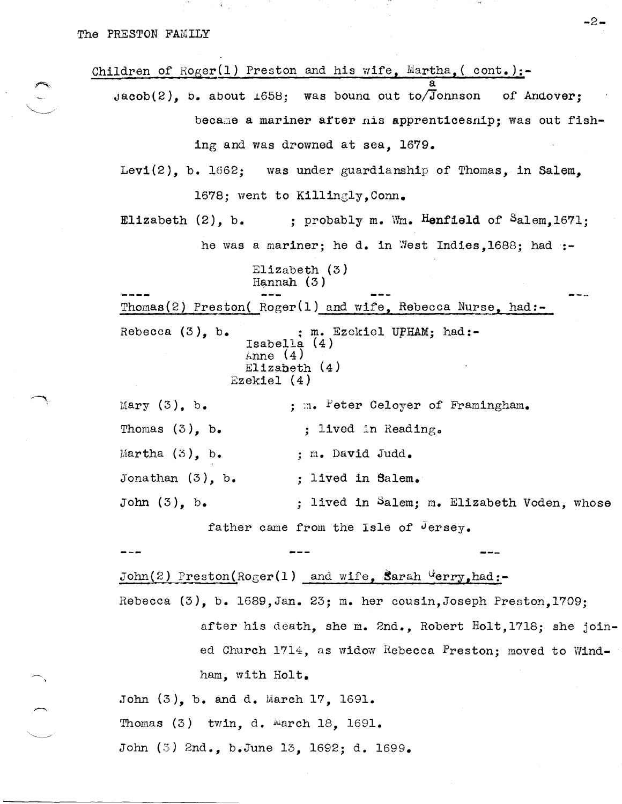**1970年第2回** 

| Children of Roger(1) Preston and his wife, Martha, $($ cont.):-                                                          |  |
|--------------------------------------------------------------------------------------------------------------------------|--|
| $Jacob(2)$ , b. about $1658$ ; was bound out to/Johnson of Andover;                                                      |  |
| became a mariner after nis apprenticesnip; was out fish-                                                                 |  |
| ing and was drowned at sea, 1679.                                                                                        |  |
| Levi $(2)$ , b. 1662; was under guardianship of Thomas, in Salem,                                                        |  |
| 1678; went to Killingly, Conn.                                                                                           |  |
| Elizabeth $(2)$ , b. ; probably m. Wm. Henfield of Salem, 1671;                                                          |  |
| he was a mariner; he d. in West Indies, 1688; had :-                                                                     |  |
| E11zabeth (3)<br>Hannah $(3)$                                                                                            |  |
| Thomas (2) Preston (Roger(1) and wife, Rebecca Nurse, had:-                                                              |  |
| Rebecca $(3)$ , b.<br>; m. Ezekiel UPHAM; had:-<br>Isabella $(4)$<br>$\text{None}$ (4)<br>Elizabeth $(4)$<br>Ezekiel (4) |  |
| Mary $(3)$ , b.<br>; m. Peter Celoyer of Framingham.                                                                     |  |
| Thomas $(3)$ , b.<br>; lived in Reading.                                                                                 |  |
| Martha $(3)$ , b.<br>; m. David Judd.                                                                                    |  |
| Jonathan $(3)$ , b.<br>; lived in Salem.                                                                                 |  |
| John $(3)$ , b.<br>; lived in Salem; m. Elizabeth Voden, whose                                                           |  |
| father came from the Isle of Jersey.                                                                                     |  |
|                                                                                                                          |  |
| $John(2)$ Preston(Roger(1) and wife, Sarah Gerry, had:-                                                                  |  |
| Rebecca $(3)$ , b. 1689, Jan. 23; m. her cousin, Joseph Preston, 1709;                                                   |  |
| after his death, she m. 2nd., Robert Holt, 1718; she join-                                                               |  |
| ed Church 1714, as widow Rebecca Preston; moved to Wind-                                                                 |  |
| ham, with Holt.                                                                                                          |  |
| John (3), b. and d. March 17, 1691.                                                                                      |  |

Thomas (3) twin, d. Warch 18, 1691.

 $\overline{\phantom{m}}$ 

John (3) 2nd., b.June 13, 1692; d. 1699.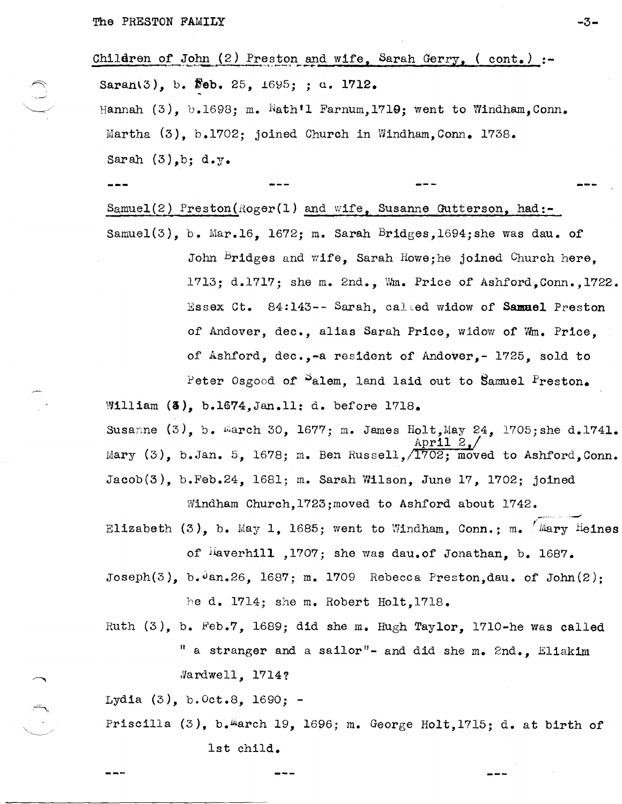$\bigcirc$ 

----

|                                          | Children of John $(2)$ Preston and wife, Sarah Gerry, (cont.) :-                            |  |  |
|------------------------------------------|---------------------------------------------------------------------------------------------|--|--|
| Saran(3), b. Feb. 25, $1695;$ ; d. 1712. |                                                                                             |  |  |
|                                          | Hannah $(3)$ , b.1698; m. Wath'l Farnum, 1719; went to Windham, Conn.                       |  |  |
|                                          | Martha $(3)$ , b.1702; joined Church in Windham, Conn. 1738.                                |  |  |
|                                          | Sarah $(3)$ , b; d.y.                                                                       |  |  |
|                                          |                                                                                             |  |  |
|                                          | $Samuel(2)$ Preston(Roger(1) and wife, Susanne Gutterson, had:-                             |  |  |
|                                          | Samuel(3), b. Mar.16, 1672; m. Sarah Bridges, 1694; she was dau. of                         |  |  |
|                                          | John Bridges and wife, Sarah Howe; he joined Church here,                                   |  |  |
|                                          | 1713; d.1717; she m. 2nd., Wm. Price of Ashford, Conn., 1722.                               |  |  |
|                                          | Essex Ct. 84:143 -- Sarah, called widow of Samuel Preston                                   |  |  |
|                                          | of Andover, dec., alias Sarah Price, widow of Wm. Price,                                    |  |  |
|                                          | of Ashford, dec.,-a resident of Andover,- 1725, sold to                                     |  |  |
|                                          | Peter Osgood of Salem, land laid out to Samuel Preston.                                     |  |  |
|                                          | William $(3)$ , b.1674, Jan.11: d. before 1718.                                             |  |  |
|                                          | Susanne $(3)$ , b. March 30, 1677; m. James Holt, May 24, 1705; she d.1741.<br>ADP11 Z.     |  |  |
|                                          | Mary (3), b. Jan. 5, 1678; m. Ben Russell, 1702; moved to Ashford, Conn.                    |  |  |
|                                          | $Jacob(3)$ , b.Feb.24, 1681; m. Sarah Wilson, June 17, 1702; joined                         |  |  |
|                                          | Windham Church, 1723; moved to Ashford about 1742.                                          |  |  |
|                                          | Elizabeth (3), b. May 1, 1685; went to Windham, Conn.; m. $/Mary$ Heines                    |  |  |
|                                          | of Haverhill , 1707; she was dau. of Jonathan, b. 1687.                                     |  |  |
|                                          | Joseph $(3)$ , b. $\frac{3}{2}$ an. 26, 1687; m. 1709 Rebecca Preston, dau. of John $(2)$ ; |  |  |
|                                          | he d. 1714; she m. Robert Holt, 1718.                                                       |  |  |
|                                          | Ruth (3), b. Feb.7, 1689; did she m. Hugh Taylor, 1710-he was called                        |  |  |
|                                          | " a stranger and a sailor"- and did she m. 2nd., Eliakim                                    |  |  |
|                                          | Wardwell, 1714?                                                                             |  |  |
|                                          |                                                                                             |  |  |

 $-3-$ 

Lydia (3), b. Oct.8, 1690; -

Priscilla (3), b. march 19, 1696; m. George Holt, 1715; d. at birth of

lst child.

 $- - -$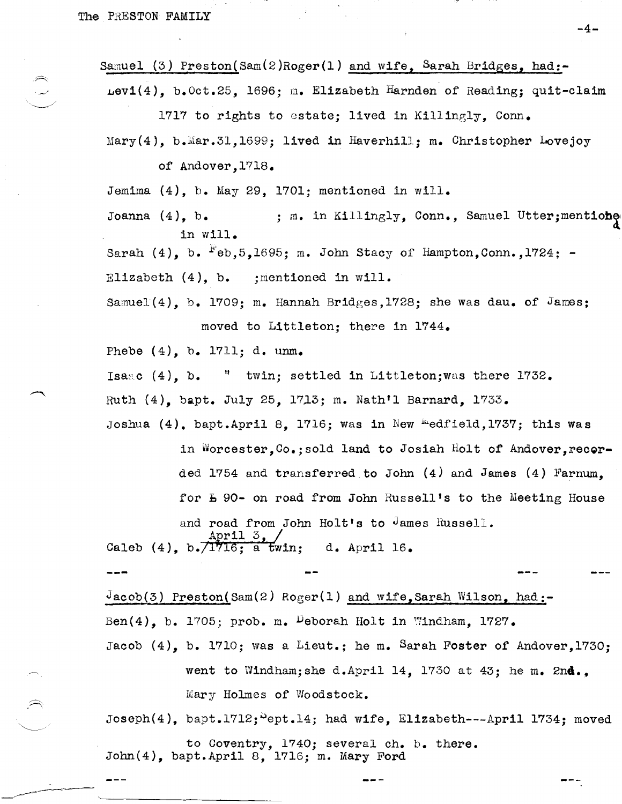$\approx$ 

 $\begin{pmatrix} 1 & 1 \ 1 & 1 \end{pmatrix}$ 

-~--------~-----

Samuel (3) Preston(Sam(2)Roger(1) and wife, Sarah Bridges, had:-

 $per1(4)$ , b.Oct.25, 1696; m. Elizabeth Harnden of Reading; quit-claim 1717 to rights to estate; lived in Killingly, Conn.

 $Mary(4)$ , b.Mar.31,1699; lived in Haverhill; m. Christopher Lovejoy of Andover,1718.

Jemima (4), b. May 29, 1701; mentioned in will.

Joanna (4), b. ; m. in Killingly, Conn., Samuel Utter; mentione in will.  $\qquad \qquad \text{d}$ 

Sarah  $(4)$ , b.  $F$ eb,5,1695; m. John Stacy of Hampton, Conn., 1724; -

Elizabeth (4), b. jmentioned in will.

Samuel $(4)$ , b. 1709; m. Hannah Bridges, 1728; she was dau. of James; moved to Littleton; there in 1744.

Phebe  $(4)$ , b. 1711; d. unm.

~------------------------

Isaac  $(4)$ , b.  $\,$   $\,$  twin; settled in Littleton;was there 1732.

Ruth (4), bapt. July 25, 1713; m. Nath'l Barnard, 1733.

Joshua  $(4)$ , bapt.April 8, 1716; was in New "edfield,1737; this was in Worcester, Co.; sold land to Josiah Holt of Andover, recorded 1754 and transferred.to John (4) and James (4) Farnum, for  $E$  90- on road from John Russell's to the Meeting House

and road from John Holt's to James Russell. April 3,  $/$ 

Caleb (4),  $b.\overline{\overline{1716}}; a'$  twin; d. April 16.

 $J_{\text{acob}}(3)$  Preston(Sam $(2)$  Roger(1) and wife,Sarah Wilson, had:-Ben $(4)$ , b. 1705; prob. m. Deborah Holt in Windham, 1727. Jacob  $(4)$ , b. 1710; was a Lieut.; he m. Sarah Foster of Andover, 1730;

> went to Windham;she d.April 14, 1730 at 43; he m. **2nd.,**  Mary Holmes of Woodstock.

Joseph $(4)$ , bapt.1712;  $e$ ept.14; had wife, Elizabeth---April 1734; moved

to Coventry, 1740; several ch. b. there. John(4), bapt.April 8, 1716; m. Mary Ford

-4-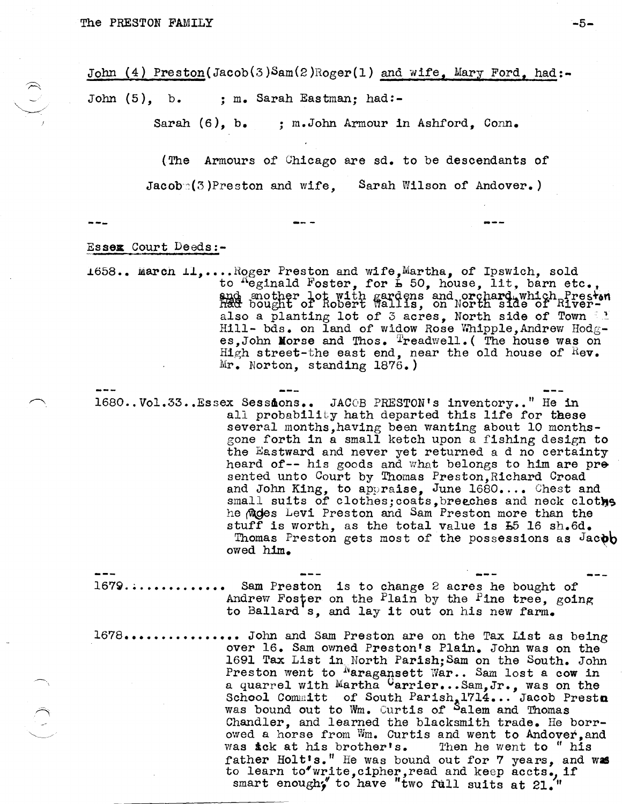John (4) Preston(Jacob(3)Sam(2)Roger(1) and wife, Mary Ford, had:-John (5), b. ; m. Sarah Eastman; had:-

Sarah (6), b. ; m.John Armour in Ashford, Conn.

(The Armours of' Chicago are sd. to be descendants of Jacob:(3)Preston and wife, Sarah Wilson of Andover.)

 $\hat{C}$ 

## Essex Court Deeds:-

1658.. March  $\texttt{IL}, \dots \texttt{Roger}$  Preston and wife, Martha, of Ipswich, sold to  $^{R}$ eginald Foster, for  $\frac{1}{2}$  50, house, lit, barn etc., and mother lot with gardens and orchard which Preston had bought of Robert Wallis, on North side of Riveralso a planting lot of 3 acres, North side of Town  $\frac{1}{2}$ Hill- bds. on land of widow Rose Whipple, Andrew Hodg- es,John Morse and Thos.  $T_{readwell}$ . (The house was on High street-the east end, near the old house of  $\text{Re}\mathbf{v}$ . Mr. Norton, standing 1876.)

1680..Vol.33..Essex Sessions.. JACOB PRESTON's inventory.." He in all probability hath departed this life for these several months,having been wanting about 10 monthsgone forth in a small ketch upon a fishing design to the Eastward and never yet returned a d no certainty heard of-- his goods and what belongs to him are pre sented unto Court by Thomas Preston, Richard Croad and John King, to appraise, June 1680.... Chest and small suits of clothes; coats, breeches and neck clothes he mides Levi Preston and Sam Preston more than the stuff is worth, as the total value is  $E5$  16 sh.6d. Thomas Preston gets most of the possessions as Jacob owed him. .

 $1679...$ ............ Sam Preston is to change 2 acres he bought of Andrew Foster on the Plain by the Pine tree, going to Ballard's, and lay it out on his new farm.

1678................ John and Sam Preston are on the Tax List as being over 16. Sam owned Preston's Plain. John was on the 1691 Tax List in North Parish;Sam on the South. John Preston went to <sup>N</sup>aragansett War.. Sam lost a cow in a quarrel with Martha Carrier... Sam, Jr., was on the School Committ of South Parish,  $1714...$  Jacob Presto was bound out to Wm. Curtis of Salem and Thomas Chandler, and learned the blacksmith trade. He borrowed a horse from Wm. Curtis and went to Andover, and was ick at his brother's. Then he went to "his was ick at his brother's. father Holt's." He was bound out for 7 years, and was to learn to"write,cipher,read and keep accts., if smart enough; to have "two full suits at  $21$ ."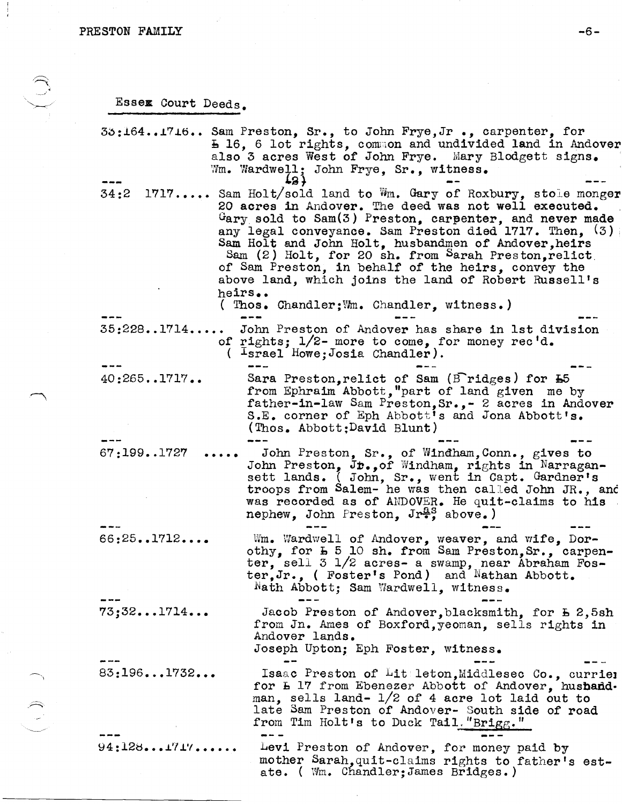$\frac{1}{\pi}$ 

 $\left(\bigcup_{i=1}^{n} \right)$ 

 $\sim$ 

Essex Court Deeds.

| 35:1641716 Sam Preston, Sr., to John Frye, Jr., carpenter, for<br><b>E 16, 6 lot rights, common and undivided land in Andover</b><br>also 3 acres West of John Frye. Mary Blodgett signs.<br>Wm. Wardwell; John Frye, Sr., witness.                                                                                                                                                                                                                                                                                                                 |
|-----------------------------------------------------------------------------------------------------------------------------------------------------------------------------------------------------------------------------------------------------------------------------------------------------------------------------------------------------------------------------------------------------------------------------------------------------------------------------------------------------------------------------------------------------|
| T3 J<br>34:2 1717 Sam Holt/sold land to Wm. Gary of Roxbury, stole monger<br>20 acres in Andover. The deed was not well executed.<br>$G_{\text{ary}}$ sold to Sam(3) Preston, carpenter, and never made<br>any legal conveyance. Sam Preston died 1717. Then. (3)<br>Sam Holt and John Holt, husbandmen of Andover, heirs<br>Sam (2) Holt, for 20 sh. from Sarah Preston, relict<br>of Sam Preston, in behalf of the heirs, convey the<br>above land, which joins the land of Robert Russell's<br>heirs<br>(Thos. Chandler; Wm. Chandler, witness.) |
| John Preston of Andover has share in 1st division<br>35:2281714<br>of rights; $1/2$ - more to come, for money rec'd.<br>$lspace$ Howe: Josia Chandler).                                                                                                                                                                                                                                                                                                                                                                                             |
| 40:2651717<br>Sara Preston, relict of Sam ( $\text{Eridges}$ ) for $\text{E5}$<br>from Ephraim Abbott, "part of land given me by<br>father-in-law Sam Preston, Sr., - 2 acres in Andover<br>S.E. corner of Eph Abbott's and Jona Abbott's.<br>(Thos. Abbott:David Blunt)                                                                                                                                                                                                                                                                            |
| John Preston, Sr., of Windham, Conn., gives to<br>67:1991727<br>John Preston, Jr., of Windham, rights in Narragan-sett lands. (John, Sr., went in Capt. Gardner's<br>troops from Salem- he was then called John JR., and<br>was recorded as of ANDOVER. He quit-claims to his<br>nephew, John Preston, Jr <sup>as</sup> , above.)                                                                                                                                                                                                                   |
| 66:251712<br>Wm. Wardwell of Andover, weaver, and wife, Dor-<br>othy, for L 5 10 sh. from Sam Preston, Sr., carpen-<br>ter, sell 3 1/2 acres- a swamp, near Abraham Fos-<br>ter, Jr., (Foster's Pond) and Nathan Abbott.<br>Nath Abbott; Sam Wardwell, witness.                                                                                                                                                                                                                                                                                     |
| 73;321714<br>Jacob Preston of Andover, blacksmith, for E 2,5sh<br>from Jn. Ames of Boxford, yeoman, sells rights in<br>Andover lands.<br>Joseph Upton; Eph Foster, witness.                                                                                                                                                                                                                                                                                                                                                                         |
| 83:1961732<br>Isaac Preston of Liteleton, Middlesec Co., curriel<br>for L 17 from Ebenezer Abbott of Andover, husband.<br>man, sells land- $1/2$ of 4 acre lot laid out to<br>late Sam Preston of Andover- South side of road<br>from Tim Holt's to Duck Tail. "Brigg."                                                                                                                                                                                                                                                                             |
| 94:1281717<br>Levi Preston of Andover, for money paid by<br>mother Sarah, quit-claims rights to father's est-<br>ate. ( Wm. Chandler; James Bridges.)                                                                                                                                                                                                                                                                                                                                                                                               |

 $\bar{\star}$